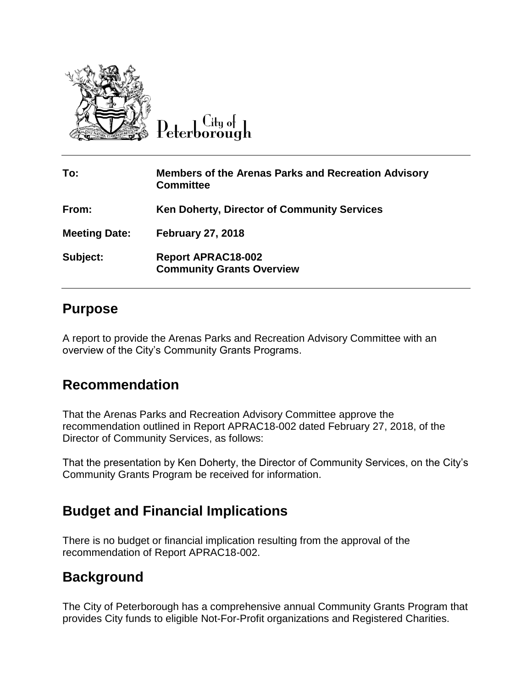

City of

| To:                  | <b>Members of the Arenas Parks and Recreation Advisory</b><br><b>Committee</b> |
|----------------------|--------------------------------------------------------------------------------|
| From:                | <b>Ken Doherty, Director of Community Services</b>                             |
| <b>Meeting Date:</b> | <b>February 27, 2018</b>                                                       |
| Subject:             | <b>Report APRAC18-002</b><br><b>Community Grants Overview</b>                  |

## **Purpose**

A report to provide the Arenas Parks and Recreation Advisory Committee with an overview of the City's Community Grants Programs.

## **Recommendation**

That the Arenas Parks and Recreation Advisory Committee approve the recommendation outlined in Report APRAC18-002 dated February 27, 2018, of the Director of Community Services, as follows:

That the presentation by Ken Doherty, the Director of Community Services, on the City's Community Grants Program be received for information.

## **Budget and Financial Implications**

There is no budget or financial implication resulting from the approval of the recommendation of Report APRAC18-002.

## **Background**

The City of Peterborough has a comprehensive annual Community Grants Program that provides City funds to eligible Not-For-Profit organizations and Registered Charities.